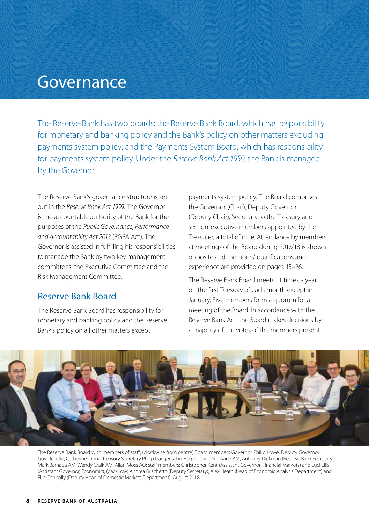# Governance

The Reserve Bank has two boards: the Reserve Bank Board, which has responsibility for monetary and banking policy and the Bank's policy on other matters excluding payments system policy; and the Payments System Board, which has responsibility for payments system policy. Under the *Reserve Bank Act 1959*, the Bank is managed by the Governor.

The Reserve Bank's governance structure is set out in the *Reserve Bank Act 1959.* The Governor is the accountable authority of the Bank for the purposes of the *Public Governance, Performance and Accountability Act 2013* (PGPA Act). The Governor is assisted in fulfilling his responsibilities to manage the Bank by two key management committees, the Executive Committee and the Risk Management Committee.

#### Reserve Bank Board

The Reserve Bank Board has responsibility for monetary and banking policy and the Reserve Bank's policy on all other matters except

payments system policy. The Board comprises the Governor (Chair), Deputy Governor (Deputy Chair), Secretary to the Treasury and six non-executive members appointed by the Treasurer, a total of nine. Attendance by members at meetings of the Board during 2017/18 is shown opposite and members' qualifications and experience are provided on pages 15–26.

The Reserve Bank Board meets 11 times a year, on the first Tuesday of each month except in January. Five members form a quorum for a meeting of the Board. In accordance with the Reserve Bank Act, the Board makes decisions by a majority of the votes of the members present



The Reserve Bank Board with members of staff; (clockwise from centre) Board members Governor Philip Lowe, Deputy Governor Guy Debelle, Catherine Tanna, Treasury Secretary Philip Gaetjens, Ian Harper, Carol Schwartz AM, Anthony Dickman (Reserve Bank Secretary), Mark Barnaba AM, Wendy Craik AM, Allan Moss AO; staff members: Christopher Kent (Assistant Governor, Financial Markets) and Luci Ellis (Assistant Governor, Economic); (back row) Andrea Brischetto (Deputy Secretary), Alex Heath (Head of Economic Analysis Department) and Ellis Connolly (Deputy Head of Domestic Markets Department), August 2018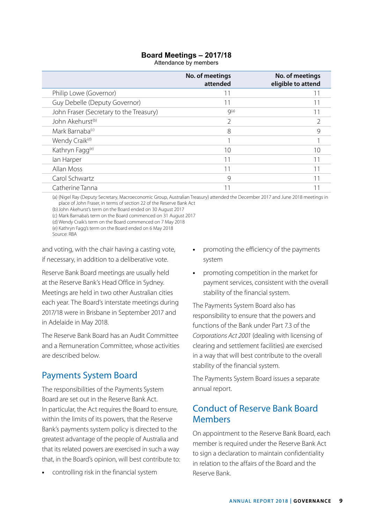#### **Board Meetings – 2017/18**

Attendance by members

|                                         | No. of meetings<br>attended | No. of meetings<br>eligible to attend |
|-----------------------------------------|-----------------------------|---------------------------------------|
| Philip Lowe (Governor)                  | 11                          |                                       |
| Guy Debelle (Deputy Governor)           | 11                          |                                       |
| John Fraser (Secretary to the Treasury) | Q(a)                        |                                       |
| John Akehurst <sup>(b)</sup>            | $\mathcal{P}$               |                                       |
| Mark Barnaba <sup>(c)</sup>             | 8                           |                                       |
| Wendy Craik <sup>(d)</sup>              |                             |                                       |
| Kathryn Fagg <sup>(e)</sup>             | 10                          | 10                                    |
| lan Harper                              | 11                          | 11                                    |
| Allan Moss                              | 11                          | 11                                    |
| Carol Schwartz                          | $\mathcal{Q}$               | 11                                    |
| Catherine Tanna                         | -1                          |                                       |

(a) (Nigel Ray (Deputy Secretary, Macroeconomic Group, Australian Treasury) attended the December 2017 and June 2018 meetings in place of John Fraser, in terms of section 22 of the Reserve Bank Act

(b)John Akehurst's term on the Board ended on 30 August 2017 (c) Mark Barnaba's term on the Board commenced on 31 August 2017

(d) Wendy Craik's term on the Board commenced on 7 May 2018

(e) Kathryn Fagg's term on the Board ended on 6 May 2018 Source: RBA

and voting, with the chair having a casting vote, if necessary, in addition to a deliberative vote.

Reserve Bank Board meetings are usually held at the Reserve Bank's Head Office in Sydney. Meetings are held in two other Australian cities each year. The Board's interstate meetings during 2017/18 were in Brisbane in September 2017 and in Adelaide in May 2018.

The Reserve Bank Board has an Audit Committee and a Remuneration Committee, whose activities are described below.

## Payments System Board

The responsibilities of the Payments System Board are set out in the Reserve Bank Act. In particular, the Act requires the Board to ensure, within the limits of its powers, that the Reserve Bank's payments system policy is directed to the greatest advantage of the people of Australia and that its related powers are exercised in such a way that, in the Board's opinion, will best contribute to:

**•** controlling risk in the financial system

- **•** promoting the efficiency of the payments system
- **•** promoting competition in the market for payment services, consistent with the overall stability of the financial system.

The Payments System Board also has responsibility to ensure that the powers and functions of the Bank under Part 7.3 of the *Corporations Act 2001* (dealing with licensing of clearing and settlement facilities) are exercised in a way that will best contribute to the overall stability of the financial system.

The Payments System Board issues a separate annual report.

## Conduct of Reserve Bank Board Members

On appointment to the Reserve Bank Board, each member is required under the Reserve Bank Act to sign a declaration to maintain confidentiality in relation to the affairs of the Board and the Reserve Bank.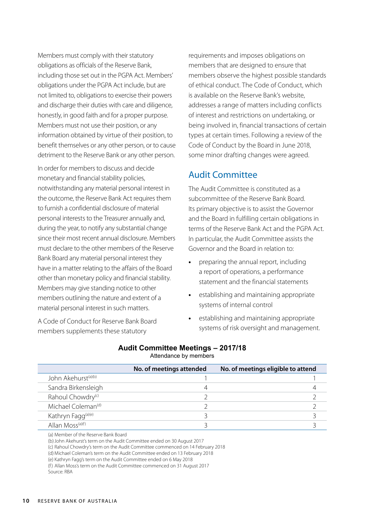Members must comply with their statutory obligations as officials of the Reserve Bank, including those set out in the PGPA Act. Members' obligations under the PGPA Act include, but are not limited to, obligations to exercise their powers and discharge their duties with care and diligence, honestly, in good faith and for a proper purpose. Members must not use their position, or any information obtained by virtue of their position, to benefit themselves or any other person, or to cause detriment to the Reserve Bank or any other person.

In order for members to discuss and decide monetary and financial stability policies, notwithstanding any material personal interest in the outcome, the Reserve Bank Act requires them to furnish a confidential disclosure of material personal interests to the Treasurer annually and, during the year, to notify any substantial change since their most recent annual disclosure. Members must declare to the other members of the Reserve Bank Board any material personal interest they have in a matter relating to the affairs of the Board other than monetary policy and financial stability. Members may give standing notice to other members outlining the nature and extent of a material personal interest in such matters.

A Code of Conduct for Reserve Bank Board members supplements these statutory

requirements and imposes obligations on members that are designed to ensure that members observe the highest possible standards of ethical conduct. The Code of Conduct, which is available on the Reserve Bank's website, addresses a range of matters including conflicts of interest and restrictions on undertaking, or being involved in, financial transactions of certain types at certain times. Following a review of the Code of Conduct by the Board in June 2018, some minor drafting changes were agreed.

#### Audit Committee

The Audit Committee is constituted as a subcommittee of the Reserve Bank Board. Its primary objective is to assist the Governor and the Board in fulfilling certain obligations in terms of the Reserve Bank Act and the PGPA Act. In particular, the Audit Committee assists the Governor and the Board in relation to:

- **•** preparing the annual report, including a report of operations, a performance statement and the financial statements
- **•** establishing and maintaining appropriate systems of internal control
- **•** establishing and maintaining appropriate systems of risk oversight and management.

|                                 | No. of meetings attended | No. of meetings eligible to attend |
|---------------------------------|--------------------------|------------------------------------|
| John Akehurst <sup>(a)(b)</sup> |                          |                                    |
| Sandra Birkensleigh             |                          |                                    |
| Rahoul Chowdry <sup>(c)</sup>   |                          |                                    |
| Michael Coleman <sup>(d)</sup>  |                          |                                    |
| Kathryn Fagg <sup>(a)(e)</sup>  |                          |                                    |
| Allan Moss <sup>(a)(f)</sup>    |                          |                                    |
|                                 |                          |                                    |

**Audit Committee Meetings – 2017/18**

Attendance by members

(a) Member of the Reserve Bank Board

(b)John Akehurst's term on the Audit Committee ended on 30 August 2017

(c) Rahoul Chowdry's term on the Audit Committee commenced on 14 February 2018

(d)Michael Coleman's term on the Audit Committee ended on 13 February 2018

(e) Kathryn Fagg's term on the Audit Committee ended on 6 May 2018

(f) Allan Moss's term on the Audit Committee commenced on 31 August 2017 Source: RBA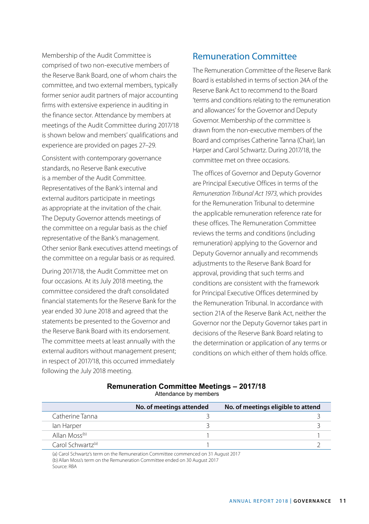Membership of the Audit Committee is comprised of two non-executive members of the Reserve Bank Board, one of whom chairs the committee, and two external members, typically former senior audit partners of major accounting firms with extensive experience in auditing in the finance sector. Attendance by members at meetings of the Audit Committee during 2017/18 is shown below and members' qualifications and experience are provided on pages 27–29.

Consistent with contemporary governance standards, no Reserve Bank executive is a member of the Audit Committee. Representatives of the Bank's internal and external auditors participate in meetings as appropriate at the invitation of the chair. The Deputy Governor attends meetings of the committee on a regular basis as the chief representative of the Bank's management. Other senior Bank executives attend meetings of the committee on a regular basis or as required.

During 2017/18, the Audit Committee met on four occasions. At its July 2018 meeting, the committee considered the draft consolidated financial statements for the Reserve Bank for the year ended 30 June 2018 and agreed that the statements be presented to the Governor and the Reserve Bank Board with its endorsement. The committee meets at least annually with the external auditors without management present; in respect of 2017/18, this occurred immediately following the July 2018 meeting.

## Remuneration Committee

The Remuneration Committee of the Reserve Bank Board is established in terms of section 24A of the Reserve Bank Act to recommend to the Board 'terms and conditions relating to the remuneration and allowances' for the Governor and Deputy Governor. Membership of the committee is drawn from the non-executive members of the Board and comprises Catherine Tanna (Chair), Ian Harper and Carol Schwartz. During 2017/18, the committee met on three occasions.

The offices of Governor and Deputy Governor are Principal Executive Offices in terms of the *Remuneration Tribunal Act 1973*, which provides for the Remuneration Tribunal to determine the applicable remuneration reference rate for these offices. The Remuneration Committee reviews the terms and conditions (including remuneration) applying to the Governor and Deputy Governor annually and recommends adjustments to the Reserve Bank Board for approval, providing that such terms and conditions are consistent with the framework for Principal Executive Offices determined by the Remuneration Tribunal. In accordance with section 21A of the Reserve Bank Act, neither the Governor nor the Deputy Governor takes part in decisions of the Reserve Bank Board relating to the determination or application of any terms or conditions on which either of them holds office.

| Remuneration Committee Meetings – 2017/18 |  |  |
|-------------------------------------------|--|--|
| Attendance by members                     |  |  |

|                               | No. of meetings attended | No. of meetings eligible to attend |
|-------------------------------|--------------------------|------------------------------------|
| Catherine Tanna               |                          |                                    |
| lan Harper                    |                          |                                    |
| Allan Moss <sup>(b)</sup>     |                          |                                    |
| Carol Schwartz <sup>(a)</sup> |                          |                                    |

(a) Carol Schwartz's term on the Remuneration Committee commenced on 31 August 2017 (b)Allan Moss's term on the Remuneration Committee ended on 30 August 2017 Source: RBA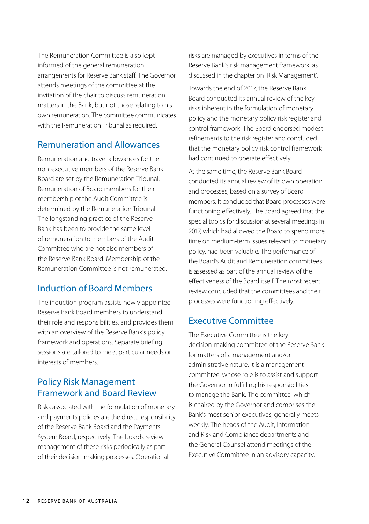The Remuneration Committee is also kept informed of the general remuneration arrangements for Reserve Bank staff. The Governor attends meetings of the committee at the invitation of the chair to discuss remuneration matters in the Bank, but not those relating to his own remuneration. The committee communicates with the Remuneration Tribunal as required.

#### Remuneration and Allowances

Remuneration and travel allowances for the non-executive members of the Reserve Bank Board are set by the Remuneration Tribunal. Remuneration of Board members for their membership of the Audit Committee is determined by the Remuneration Tribunal. The longstanding practice of the Reserve Bank has been to provide the same level of remuneration to members of the Audit Committee who are not also members of the Reserve Bank Board. Membership of the Remuneration Committee is not remunerated.

#### Induction of Board Members

The induction program assists newly appointed Reserve Bank Board members to understand their role and responsibilities, and provides them with an overview of the Reserve Bank's policy framework and operations. Separate briefing sessions are tailored to meet particular needs or interests of members.

## Policy Risk Management Framework and Board Review

Risks associated with the formulation of monetary and payments policies are the direct responsibility of the Reserve Bank Board and the Payments System Board, respectively. The boards review management of these risks periodically as part of their decision-making processes. Operational

risks are managed by executives in terms of the Reserve Bank's risk management framework, as discussed in the chapter on 'Risk Management'.

Towards the end of 2017, the Reserve Bank Board conducted its annual review of the key risks inherent in the formulation of monetary policy and the monetary policy risk register and control framework. The Board endorsed modest refinements to the risk register and concluded that the monetary policy risk control framework had continued to operate effectively.

At the same time, the Reserve Bank Board conducted its annual review of its own operation and processes, based on a survey of Board members. It concluded that Board processes were functioning effectively. The Board agreed that the special topics for discussion at several meetings in 2017, which had allowed the Board to spend more time on medium-term issues relevant to monetary policy, had been valuable. The performance of the Board's Audit and Remuneration committees is assessed as part of the annual review of the effectiveness of the Board itself. The most recent review concluded that the committees and their processes were functioning effectively.

#### Executive Committee

The Executive Committee is the key decision-making committee of the Reserve Bank for matters of a management and/or administrative nature. It is a management committee, whose role is to assist and support the Governor in fulfilling his responsibilities to manage the Bank. The committee, which is chaired by the Governor and comprises the Bank's most senior executives, generally meets weekly. The heads of the Audit, Information and Risk and Compliance departments and the General Counsel attend meetings of the Executive Committee in an advisory capacity.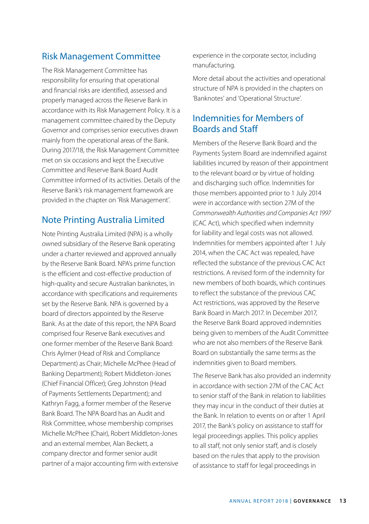## Risk Management Committee

The Risk Management Committee has responsibility for ensuring that operational and financial risks are identified, assessed and properly managed across the Reserve Bank in accordance with its Risk Management Policy. It is a management committee chaired by the Deputy Governor and comprises senior executives drawn mainly from the operational areas of the Bank. During 2017/18, the Risk Management Committee met on six occasions and kept the Executive Committee and Reserve Bank Board Audit Committee informed of its activities. Details of the Reserve Bank's risk management framework are provided in the chapter on 'Risk Management'.

### Note Printing Australia Limited

Note Printing Australia Limited (NPA) is a wholly owned subsidiary of the Reserve Bank operating under a charter reviewed and approved annually by the Reserve Bank Board. NPA's prime function is the efficient and cost-effective production of high-quality and secure Australian banknotes, in accordance with specifications and requirements set by the Reserve Bank. NPA is governed by a board of directors appointed by the Reserve Bank. As at the date of this report, the NPA Board comprised four Reserve Bank executives and one former member of the Reserve Bank Board: Chris Aylmer (Head of Risk and Compliance Department) as Chair; Michelle McPhee (Head of Banking Department); Robert Middleton-Jones (Chief Financial Officer); Greg Johnston (Head of Payments Settlements Department); and Kathryn Fagg, a former member of the Reserve Bank Board. The NPA Board has an Audit and Risk Committee, whose membership comprises Michelle McPhee (Chair), Robert Middleton-Jones and an external member, Alan Beckett, a company director and former senior audit partner of a major accounting firm with extensive experience in the corporate sector, including manufacturing.

More detail about the activities and operational structure of NPA is provided in the chapters on 'Banknotes' and 'Operational Structure'.

## Indemnities for Members of Boards and Staff

Members of the Reserve Bank Board and the Payments System Board are indemnified against liabilities incurred by reason of their appointment to the relevant board or by virtue of holding and discharging such office. Indemnities for those members appointed prior to 1 July 2014 were in accordance with section 27M of the *Commonwealth Authorities and Companies Act 1997* (CAC Act), which specified when indemnity for liability and legal costs was not allowed. Indemnities for members appointed after 1 July 2014, when the CAC Act was repealed, have reflected the substance of the previous CAC Act restrictions. A revised form of the indemnity for new members of both boards, which continues to reflect the substance of the previous CAC Act restrictions, was approved by the Reserve Bank Board in March 2017. In December 2017, the Reserve Bank Board approved indemnities being given to members of the Audit Committee who are not also members of the Reserve Bank Board on substantially the same terms as the indemnities given to Board members.

The Reserve Bank has also provided an indemnity in accordance with section 27M of the CAC Act to senior staff of the Bank in relation to liabilities they may incur in the conduct of their duties at the Bank. In relation to events on or after 1 April 2017, the Bank's policy on assistance to staff for legal proceedings applies. This policy applies to all staff, not only senior staff, and is closely based on the rules that apply to the provision of assistance to staff for legal proceedings in